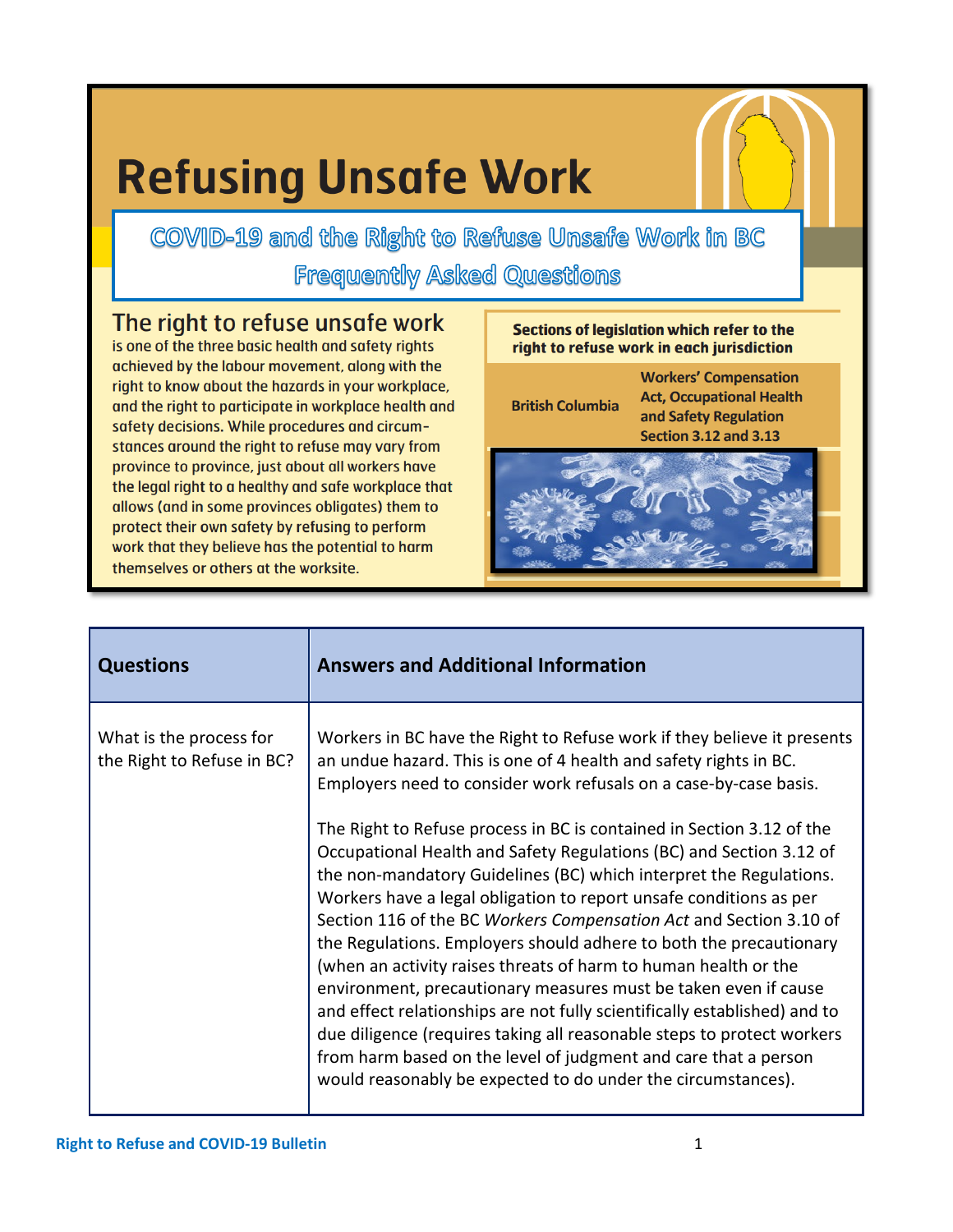## **Refusing Unsafe Work**

COVID-19 and the Right to Refuse Unsafe Work in BC **Frequently Asked Questions** 

The right to refuse unsafe work

is one of the three basic health and safety rights achieved by the labour movement, along with the right to know about the hazards in your workplace, and the right to participate in workplace health and safety decisions. While procedures and circumstances around the right to refuse may vary from province to province, just about all workers have the legal right to a healthy and safe workplace that allows (and in some provinces obligates) them to protect their own safety by refusing to perform work that they believe has the potential to harm themselves or others at the worksite.

**Sections of legislation which refer to the** right to refuse work in each jurisdiction

**British Columbia** 

**Workers' Compensation Act, Occupational Health** and Safety Regulation **Section 3.12 and 3.13** 



| <b>Questions</b>                                      | <b>Answers and Additional Information</b>                                                                                                                                                                                                                                                                                                                                                                                                                                                                                                                                                                                                                                                                                                                                                                                                                                                                                                                                                                                 |
|-------------------------------------------------------|---------------------------------------------------------------------------------------------------------------------------------------------------------------------------------------------------------------------------------------------------------------------------------------------------------------------------------------------------------------------------------------------------------------------------------------------------------------------------------------------------------------------------------------------------------------------------------------------------------------------------------------------------------------------------------------------------------------------------------------------------------------------------------------------------------------------------------------------------------------------------------------------------------------------------------------------------------------------------------------------------------------------------|
| What is the process for<br>the Right to Refuse in BC? | Workers in BC have the Right to Refuse work if they believe it presents<br>an undue hazard. This is one of 4 health and safety rights in BC.<br>Employers need to consider work refusals on a case-by-case basis.<br>The Right to Refuse process in BC is contained in Section 3.12 of the<br>Occupational Health and Safety Regulations (BC) and Section 3.12 of<br>the non-mandatory Guidelines (BC) which interpret the Regulations.<br>Workers have a legal obligation to report unsafe conditions as per<br>Section 116 of the BC Workers Compensation Act and Section 3.10 of<br>the Regulations. Employers should adhere to both the precautionary<br>(when an activity raises threats of harm to human health or the<br>environment, precautionary measures must be taken even if cause<br>and effect relationships are not fully scientifically established) and to<br>due diligence (requires taking all reasonable steps to protect workers<br>from harm based on the level of judgment and care that a person |
|                                                       | would reasonably be expected to do under the circumstances).                                                                                                                                                                                                                                                                                                                                                                                                                                                                                                                                                                                                                                                                                                                                                                                                                                                                                                                                                              |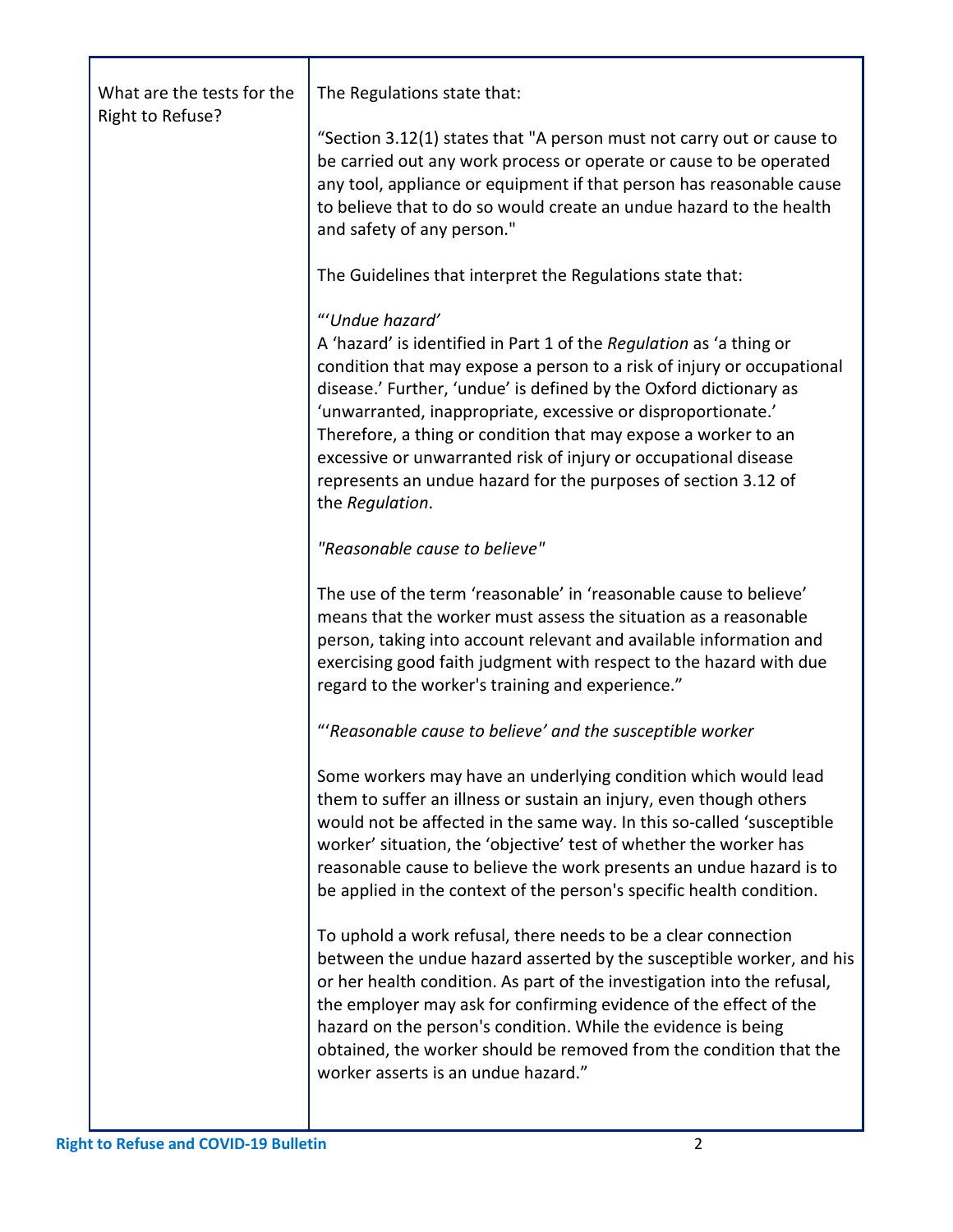| What are the tests for the<br>Right to Refuse? | The Regulations state that:                                                                                                                                                                                                                                                                                                                                                                                                                                                                                                     |
|------------------------------------------------|---------------------------------------------------------------------------------------------------------------------------------------------------------------------------------------------------------------------------------------------------------------------------------------------------------------------------------------------------------------------------------------------------------------------------------------------------------------------------------------------------------------------------------|
|                                                | "Section 3.12(1) states that "A person must not carry out or cause to<br>be carried out any work process or operate or cause to be operated<br>any tool, appliance or equipment if that person has reasonable cause<br>to believe that to do so would create an undue hazard to the health<br>and safety of any person."                                                                                                                                                                                                        |
|                                                | The Guidelines that interpret the Regulations state that:                                                                                                                                                                                                                                                                                                                                                                                                                                                                       |
|                                                | "'Undue hazard'<br>A 'hazard' is identified in Part 1 of the Regulation as 'a thing or<br>condition that may expose a person to a risk of injury or occupational<br>disease.' Further, 'undue' is defined by the Oxford dictionary as<br>'unwarranted, inappropriate, excessive or disproportionate.'<br>Therefore, a thing or condition that may expose a worker to an<br>excessive or unwarranted risk of injury or occupational disease<br>represents an undue hazard for the purposes of section 3.12 of<br>the Regulation. |
|                                                | "Reasonable cause to believe"                                                                                                                                                                                                                                                                                                                                                                                                                                                                                                   |
|                                                | The use of the term 'reasonable' in 'reasonable cause to believe'<br>means that the worker must assess the situation as a reasonable<br>person, taking into account relevant and available information and<br>exercising good faith judgment with respect to the hazard with due<br>regard to the worker's training and experience."                                                                                                                                                                                            |
|                                                | "'Reasonable cause to believe' and the susceptible worker                                                                                                                                                                                                                                                                                                                                                                                                                                                                       |
|                                                | Some workers may have an underlying condition which would lead<br>them to suffer an illness or sustain an injury, even though others<br>would not be affected in the same way. In this so-called 'susceptible<br>worker' situation, the 'objective' test of whether the worker has<br>reasonable cause to believe the work presents an undue hazard is to<br>be applied in the context of the person's specific health condition.                                                                                               |
|                                                | To uphold a work refusal, there needs to be a clear connection<br>between the undue hazard asserted by the susceptible worker, and his<br>or her health condition. As part of the investigation into the refusal,<br>the employer may ask for confirming evidence of the effect of the<br>hazard on the person's condition. While the evidence is being<br>obtained, the worker should be removed from the condition that the<br>worker asserts is an undue hazard."                                                            |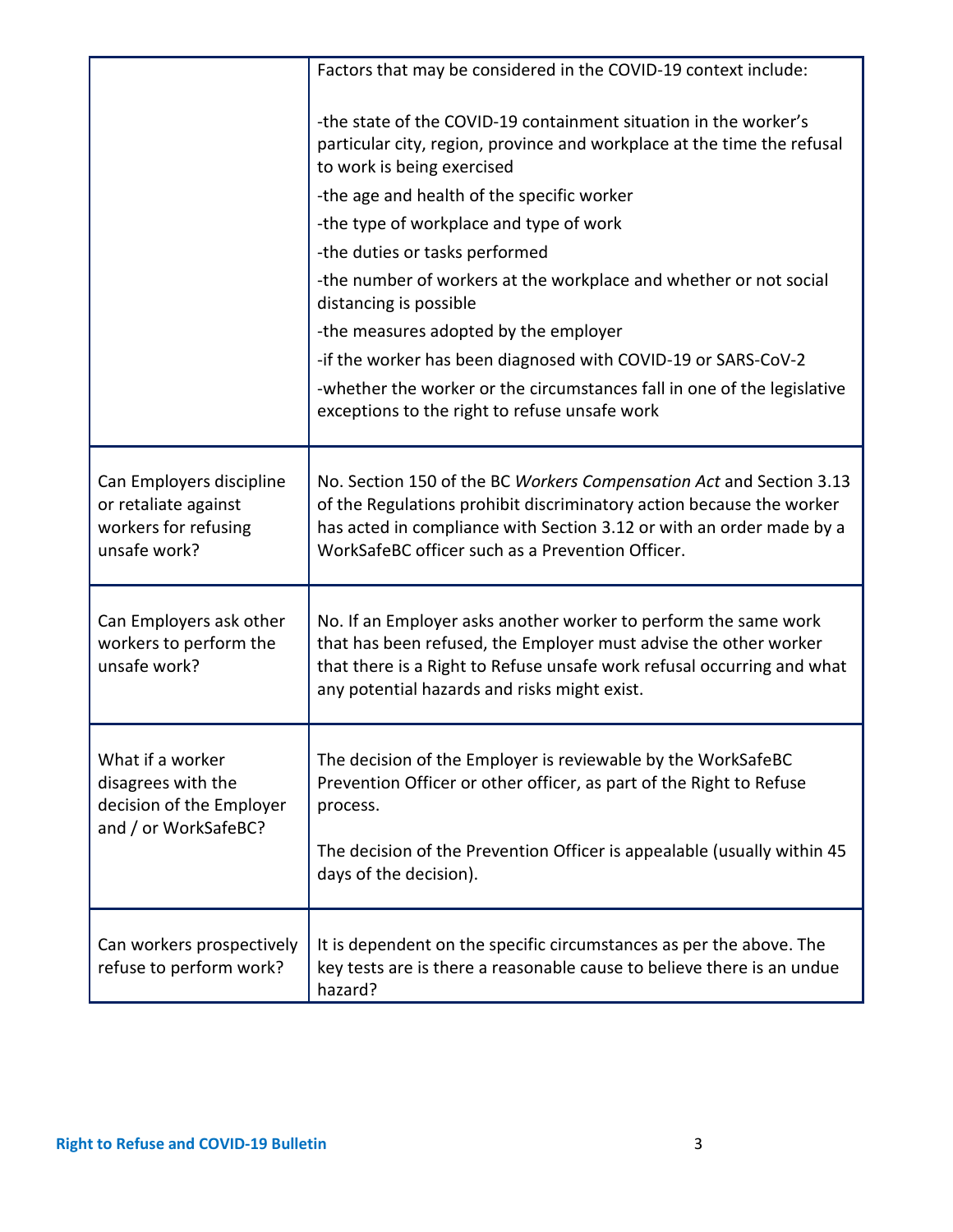|                                                                                            | Factors that may be considered in the COVID-19 context include:                                                                                                                                                                                                         |
|--------------------------------------------------------------------------------------------|-------------------------------------------------------------------------------------------------------------------------------------------------------------------------------------------------------------------------------------------------------------------------|
|                                                                                            | -the state of the COVID-19 containment situation in the worker's<br>particular city, region, province and workplace at the time the refusal<br>to work is being exercised                                                                                               |
|                                                                                            | -the age and health of the specific worker                                                                                                                                                                                                                              |
|                                                                                            | -the type of workplace and type of work                                                                                                                                                                                                                                 |
|                                                                                            | -the duties or tasks performed                                                                                                                                                                                                                                          |
|                                                                                            | -the number of workers at the workplace and whether or not social<br>distancing is possible                                                                                                                                                                             |
|                                                                                            | -the measures adopted by the employer                                                                                                                                                                                                                                   |
|                                                                                            | -if the worker has been diagnosed with COVID-19 or SARS-CoV-2                                                                                                                                                                                                           |
|                                                                                            | -whether the worker or the circumstances fall in one of the legislative<br>exceptions to the right to refuse unsafe work                                                                                                                                                |
| Can Employers discipline<br>or retaliate against<br>workers for refusing<br>unsafe work?   | No. Section 150 of the BC Workers Compensation Act and Section 3.13<br>of the Regulations prohibit discriminatory action because the worker<br>has acted in compliance with Section 3.12 or with an order made by a<br>WorkSafeBC officer such as a Prevention Officer. |
| Can Employers ask other<br>workers to perform the<br>unsafe work?                          | No. If an Employer asks another worker to perform the same work<br>that has been refused, the Employer must advise the other worker<br>that there is a Right to Refuse unsafe work refusal occurring and what<br>any potential hazards and risks might exist.           |
| What if a worker<br>disagrees with the<br>decision of the Employer<br>and / or WorkSafeBC? | The decision of the Employer is reviewable by the WorkSafeBC<br>Prevention Officer or other officer, as part of the Right to Refuse<br>process.<br>The decision of the Prevention Officer is appealable (usually within 45<br>days of the decision).                    |
|                                                                                            |                                                                                                                                                                                                                                                                         |
| Can workers prospectively<br>refuse to perform work?                                       | It is dependent on the specific circumstances as per the above. The<br>key tests are is there a reasonable cause to believe there is an undue<br>hazard?                                                                                                                |